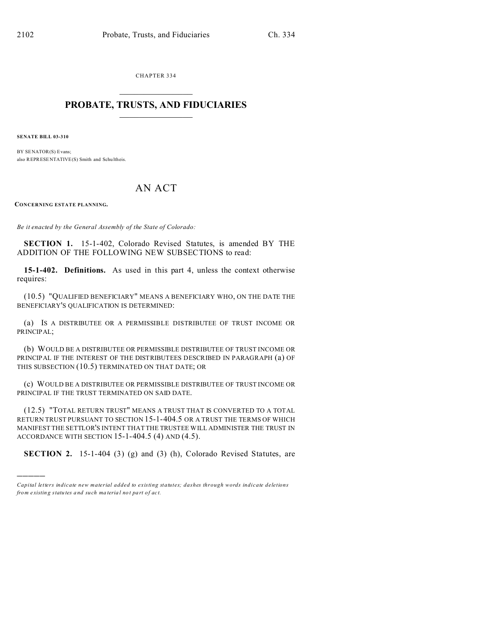CHAPTER 334  $\overline{\phantom{a}}$  , where  $\overline{\phantom{a}}$ 

## **PROBATE, TRUSTS, AND FIDUCIARIES**  $\overline{\phantom{a}}$

**SENATE BILL 03-310**

)))))

BY SENATOR(S) Evans; also REPRESENTATIVE(S) Smith and Schu ltheis.

## AN ACT

**CONCERNING ESTATE PLANNING.**

*Be it enacted by the General Assembly of the State of Colorado:*

**SECTION 1.** 15-1-402, Colorado Revised Statutes, is amended BY THE ADDITION OF THE FOLLOWING NEW SUBSECTIONS to read:

**15-1-402. Definitions.** As used in this part 4, unless the context otherwise requires:

(10.5) "QUALIFIED BENEFICIARY" MEANS A BENEFICIARY WHO, ON THE DATE THE BENEFICIARY'S QUALIFICATION IS DETERMINED:

(a) IS A DISTRIBUTEE OR A PERMISSIBLE DISTRIBUTEE OF TRUST INCOME OR PRINCIPAL;

(b) WOULD BE A DISTRIBUTEE OR PERMISSIBLE DISTRIBUTEE OF TRUST INCOME OR PRINCIPAL IF THE INTEREST OF THE DISTRIBUTEES DESCRIBED IN PARAGRAPH (a) OF THIS SUBSECTION (10.5) TERMINATED ON THAT DATE; OR

(c) WOULD BE A DISTRIBUTEE OR PERMISSIBLE DISTRIBUTEE OF TRUST INCOME OR PRINCIPAL IF THE TRUST TERMINATED ON SAID DATE.

(12.5) "TOTAL RETURN TRUST" MEANS A TRUST THAT IS CONVERTED TO A TOTAL RETURN TRUST PURSUANT TO SECTION 15-1-404.5 OR A TRUST THE TERMS OF WHICH MANIFEST THE SETTLOR'S INTENT THAT THE TRUSTEE WILL ADMINISTER THE TRUST IN ACCORDANCE WITH SECTION 15-1-404.5 (4) AND (4.5).

**SECTION 2.** 15-1-404 (3) (g) and (3) (h), Colorado Revised Statutes, are

*Capital letters indicate new material added to existing statutes; dashes through words indicate deletions from e xistin g statu tes a nd such ma teria l no t pa rt of ac t.*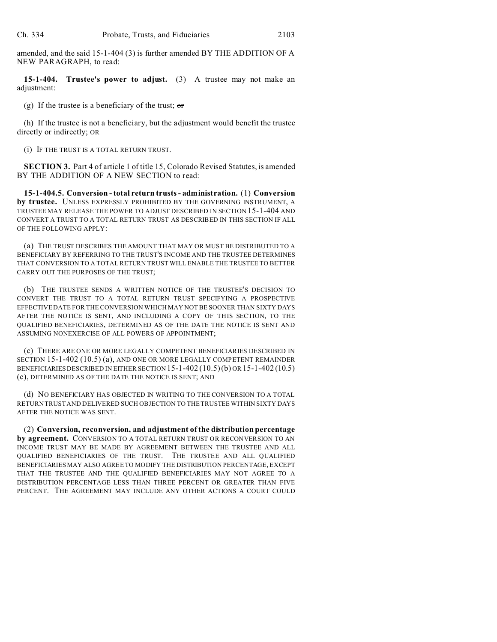amended, and the said 15-1-404 (3) is further amended BY THE ADDITION OF A NEW PARAGRAPH, to read:

**15-1-404. Trustee's power to adjust.** (3) A trustee may not make an adjustment:

(g) If the trustee is a beneficiary of the trust;  $\sigma$ 

(h) If the trustee is not a beneficiary, but the adjustment would benefit the trustee directly or indirectly; OR

(i) IF THE TRUST IS A TOTAL RETURN TRUST.

**SECTION 3.** Part 4 of article 1 of title 15, Colorado Revised Statutes, is amended BY THE ADDITION OF A NEW SECTION to read:

**15-1-404.5. Conversion - total return trusts - administration.** (1) **Conversion by trustee.** UNLESS EXPRESSLY PROHIBITED BY THE GOVERNING INSTRUMENT, A TRUSTEE MAY RELEASE THE POWER TO ADJUST DESCRIBED IN SECTION 15-1-404 AND CONVERT A TRUST TO A TOTAL RETURN TRUST AS DESCRIBED IN THIS SECTION IF ALL OF THE FOLLOWING APPLY:

(a) THE TRUST DESCRIBES THE AMOUNT THAT MAY OR MUST BE DISTRIBUTED TO A BENEFICIARY BY REFERRING TO THE TRUST'S INCOME AND THE TRUSTEE DETERMINES THAT CONVERSION TO A TOTAL RETURN TRUST WILL ENABLE THE TRUSTEE TO BETTER CARRY OUT THE PURPOSES OF THE TRUST;

(b) THE TRUSTEE SENDS A WRITTEN NOTICE OF THE TRUSTEE'S DECISION TO CONVERT THE TRUST TO A TOTAL RETURN TRUST SPECIFYING A PROSPECTIVE EFFECTIVE DATE FOR THE CONVERSION WHICH MAY NOT BE SOONER THAN SIXTY DAYS AFTER THE NOTICE IS SENT, AND INCLUDING A COPY OF THIS SECTION, TO THE QUALIFIED BENEFICIARIES, DETERMINED AS OF THE DATE THE NOTICE IS SENT AND ASSUMING NONEXERCISE OF ALL POWERS OF APPOINTMENT;

(c) THERE ARE ONE OR MORE LEGALLY COMPETENT BENEFICIARIES DESCRIBED IN SECTION 15-1-402 (10.5) (a), AND ONE OR MORE LEGALLY COMPETENT REMAINDER BENEFICIARIES DESCRIBED IN EITHER SECTION  $15$ -1-402  $(10.5)$ (b) OR  $15$ -1-402  $(10.5)$ (c), DETERMINED AS OF THE DATE THE NOTICE IS SENT; AND

(d) NO BENEFICIARY HAS OBJECTED IN WRITING TO THE CONVERSION TO A TOTAL RETURN TRUST AND DELIVERED SUCH OBJECTION TO THE TRUSTEE WITHIN SIXTY DAYS AFTER THE NOTICE WAS SENT.

(2) **Conversion, reconversion, and adjustment of the distribution percentage by agreement.** CONVERSION TO A TOTAL RETURN TRUST OR RECONVERSION TO AN INCOME TRUST MAY BE MADE BY AGREEMENT BETWEEN THE TRUSTEE AND ALL QUALIFIED BENEFICIARIES OF THE TRUST. THE TRUSTEE AND ALL QUALIFIED BENEFICIARIES MAY ALSO AGREE TO MODIFY THE DISTRIBUTION PERCENTAGE, EXCEPT THAT THE TRUSTEE AND THE QUALIFIED BENEFICIARIES MAY NOT AGREE TO A DISTRIBUTION PERCENTAGE LESS THAN THREE PERCENT OR GREATER THAN FIVE PERCENT. THE AGREEMENT MAY INCLUDE ANY OTHER ACTIONS A COURT COULD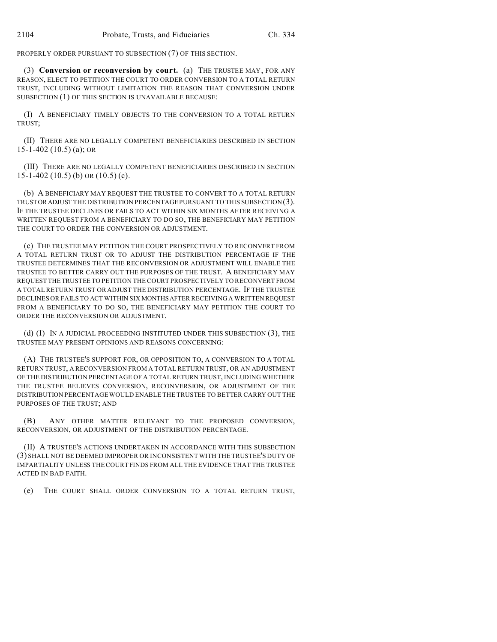PROPERLY ORDER PURSUANT TO SUBSECTION (7) OF THIS SECTION.

(3) **Conversion or reconversion by court.** (a) THE TRUSTEE MAY, FOR ANY REASON, ELECT TO PETITION THE COURT TO ORDER CONVERSION TO A TOTAL RETURN TRUST, INCLUDING WITHOUT LIMITATION THE REASON THAT CONVERSION UNDER SUBSECTION (1) OF THIS SECTION IS UNAVAILABLE BECAUSE:

(I) A BENEFICIARY TIMELY OBJECTS TO THE CONVERSION TO A TOTAL RETURN TRUST;

(II) THERE ARE NO LEGALLY COMPETENT BENEFICIARIES DESCRIBED IN SECTION 15-1-402 (10.5) (a); OR

(III) THERE ARE NO LEGALLY COMPETENT BENEFICIARIES DESCRIBED IN SECTION  $15-1-402$  (10.5) (b) OR (10.5) (c).

(b) A BENEFICIARY MAY REQUEST THE TRUSTEE TO CONVERT TO A TOTAL RETURN TRUSTOR ADJUST THE DISTRIBUTION PERCENTAGE PURSUANT TO THIS SUBSECTION (3). IF THE TRUSTEE DECLINES OR FAILS TO ACT WITHIN SIX MONTHS AFTER RECEIVING A WRITTEN REQUEST FROM A BENEFICIARY TO DO SO, THE BENEFICIARY MAY PETITION THE COURT TO ORDER THE CONVERSION OR ADJUSTMENT.

(c) THE TRUSTEE MAY PETITION THE COURT PROSPECTIVELY TO RECONVERT FROM A TOTAL RETURN TRUST OR TO ADJUST THE DISTRIBUTION PERCENTAGE IF THE TRUSTEE DETERMINES THAT THE RECONVERSION OR ADJUSTMENT WILL ENABLE THE TRUSTEE TO BETTER CARRY OUT THE PURPOSES OF THE TRUST. A BENEFICIARY MAY REQUEST THETRUSTEE TO PETITION THE COURT PROSPECTIVELY TO RECONVERT FROM A TOTAL RETURN TRUST OR ADJUST THE DISTRIBUTION PERCENTAGE. IF THE TRUSTEE DECLINES OR FAILS TO ACT WITHIN SIX MONTHSAFTER RECEIVING A WRITTEN REQUEST FROM A BENEFICIARY TO DO SO, THE BENEFICIARY MAY PETITION THE COURT TO ORDER THE RECONVERSION OR ADJUSTMENT.

(d) (I) IN A JUDICIAL PROCEEDING INSTITUTED UNDER THIS SUBSECTION (3), THE TRUSTEE MAY PRESENT OPINIONS AND REASONS CONCERNING:

(A) THE TRUSTEE'S SUPPORT FOR, OR OPPOSITION TO, A CONVERSION TO A TOTAL RETURN TRUST, A RECONVERSION FROM A TOTAL RETURN TRUST, OR AN ADJUSTMENT OF THE DISTRIBUTION PERCENTAGE OF A TOTAL RETURN TRUST, INCLUDING WHETHER THE TRUSTEE BELIEVES CONVERSION, RECONVERSION, OR ADJUSTMENT OF THE DISTRIBUTION PERCENTAGE WOULD ENABLE THE TRUSTEE TO BETTER CARRY OUT THE PURPOSES OF THE TRUST; AND

(B) ANY OTHER MATTER RELEVANT TO THE PROPOSED CONVERSION, RECONVERSION, OR ADJUSTMENT OF THE DISTRIBUTION PERCENTAGE.

(II) A TRUSTEE'S ACTIONS UNDERTAKEN IN ACCORDANCE WITH THIS SUBSECTION (3) SHALL NOT BE DEEMED IMPROPER OR INCONSISTENT WITH THE TRUSTEE'S DUTY OF IMPARTIALITY UNLESS THE COURT FINDS FROM ALL THE EVIDENCE THAT THE TRUSTEE ACTED IN BAD FAITH.

(e) THE COURT SHALL ORDER CONVERSION TO A TOTAL RETURN TRUST,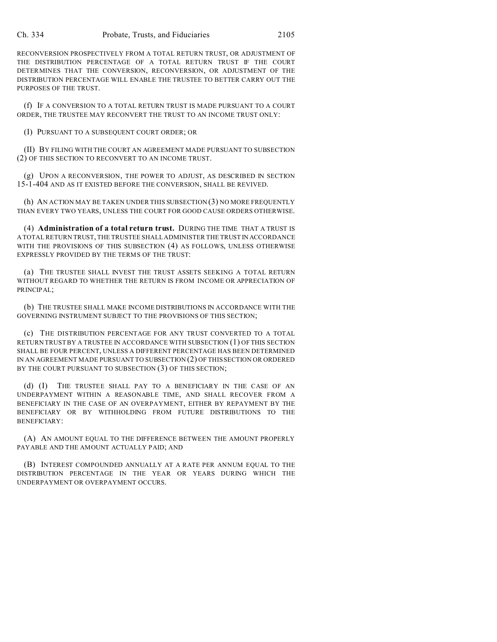RECONVERSION PROSPECTIVELY FROM A TOTAL RETURN TRUST, OR ADJUSTMENT OF THE DISTRIBUTION PERCENTAGE OF A TOTAL RETURN TRUST IF THE COURT DETERMINES THAT THE CONVERSION, RECONVERSION, OR ADJUSTMENT OF THE DISTRIBUTION PERCENTAGE WILL ENABLE THE TRUSTEE TO BETTER CARRY OUT THE PURPOSES OF THE TRUST.

(f) IF A CONVERSION TO A TOTAL RETURN TRUST IS MADE PURSUANT TO A COURT ORDER, THE TRUSTEE MAY RECONVERT THE TRUST TO AN INCOME TRUST ONLY:

(I) PURSUANT TO A SUBSEQUENT COURT ORDER; OR

(II) BY FILING WITH THE COURT AN AGREEMENT MADE PURSUANT TO SUBSECTION (2) OF THIS SECTION TO RECONVERT TO AN INCOME TRUST.

(g) UPON A RECONVERSION, THE POWER TO ADJUST, AS DESCRIBED IN SECTION 15-1-404 AND AS IT EXISTED BEFORE THE CONVERSION, SHALL BE REVIVED.

(h) AN ACTION MAY BE TAKEN UNDER THIS SUBSECTION (3) NO MORE FREQUENTLY THAN EVERY TWO YEARS, UNLESS THE COURT FOR GOOD CAUSE ORDERS OTHERWISE.

(4) **Administration of a total return trust.** DURING THE TIME THAT A TRUST IS A TOTAL RETURN TRUST, THE TRUSTEE SHALL ADMINISTER THE TRUST IN ACCORDANCE WITH THE PROVISIONS OF THIS SUBSECTION (4) AS FOLLOWS, UNLESS OTHERWISE EXPRESSLY PROVIDED BY THE TERMS OF THE TRUST:

(a) THE TRUSTEE SHALL INVEST THE TRUST ASSETS SEEKING A TOTAL RETURN WITHOUT REGARD TO WHETHER THE RETURN IS FROM INCOME OR APPRECIATION OF PRINCIPAL;

(b) THE TRUSTEE SHALL MAKE INCOME DISTRIBUTIONS IN ACCORDANCE WITH THE GOVERNING INSTRUMENT SUBJECT TO THE PROVISIONS OF THIS SECTION;

(c) THE DISTRIBUTION PERCENTAGE FOR ANY TRUST CONVERTED TO A TOTAL RETURN TRUST BY A TRUSTEE IN ACCORDANCE WITH SUBSECTION (1) OF THIS SECTION SHALL BE FOUR PERCENT, UNLESS A DIFFERENT PERCENTAGE HAS BEEN DETERMINED IN AN AGREEMENT MADE PURSUANT TO SUBSECTION (2) OF THIS SECTION OR ORDERED BY THE COURT PURSUANT TO SUBSECTION (3) OF THIS SECTION;

(d) (I) THE TRUSTEE SHALL PAY TO A BENEFICIARY IN THE CASE OF AN UNDERPAYMENT WITHIN A REASONABLE TIME, AND SHALL RECOVER FROM A BENEFICIARY IN THE CASE OF AN OVERPAYMENT, EITHER BY REPAYMENT BY THE BENEFICIARY OR BY WITHHOLDING FROM FUTURE DISTRIBUTIONS TO THE BENEFICIARY:

(A) AN AMOUNT EQUAL TO THE DIFFERENCE BETWEEN THE AMOUNT PROPERLY PAYABLE AND THE AMOUNT ACTUALLY PAID; AND

(B) INTEREST COMPOUNDED ANNUALLY AT A RATE PER ANNUM EQUAL TO THE DISTRIBUTION PERCENTAGE IN THE YEAR OR YEARS DURING WHICH THE UNDERPAYMENT OR OVERPAYMENT OCCURS.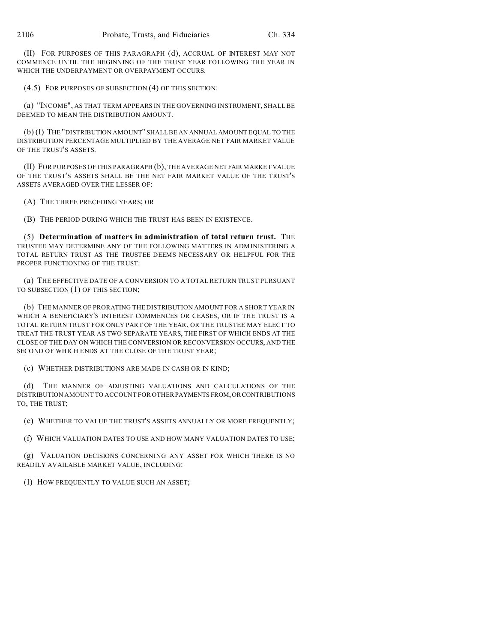(II) FOR PURPOSES OF THIS PARAGRAPH (d), ACCRUAL OF INTEREST MAY NOT COMMENCE UNTIL THE BEGINNING OF THE TRUST YEAR FOLLOWING THE YEAR IN WHICH THE UNDERPAYMENT OR OVERPAYMENT OCCURS.

(4.5) FOR PURPOSES OF SUBSECTION (4) OF THIS SECTION:

(a) "INCOME", AS THAT TERM APPEARS IN THE GOVERNING INSTRUMENT, SHALL BE DEEMED TO MEAN THE DISTRIBUTION AMOUNT.

(b) (I) THE "DISTRIBUTION AMOUNT" SHALL BE AN ANNUAL AMOUNT EQUAL TO THE DISTRIBUTION PERCENTAGE MULTIPLIED BY THE AVERAGE NET FAIR MARKET VALUE OF THE TRUST'S ASSETS.

(II) FOR PURPOSES OF THIS PARAGRAPH (b), THE AVERAGE NET FAIR MARKET VALUE OF THE TRUST'S ASSETS SHALL BE THE NET FAIR MARKET VALUE OF THE TRUST'S ASSETS AVERAGED OVER THE LESSER OF:

(A) THE THREE PRECEDING YEARS; OR

(B) THE PERIOD DURING WHICH THE TRUST HAS BEEN IN EXISTENCE.

(5) **Determination of matters in administration of total return trust.** THE TRUSTEE MAY DETERMINE ANY OF THE FOLLOWING MATTERS IN ADMINISTERING A TOTAL RETURN TRUST AS THE TRUSTEE DEEMS NECESSARY OR HELPFUL FOR THE PROPER FUNCTIONING OF THE TRUST:

(a) THE EFFECTIVE DATE OF A CONVERSION TO A TOTAL RETURN TRUST PURSUANT TO SUBSECTION (1) OF THIS SECTION;

(b) THE MANNER OF PRORATING THE DISTRIBUTION AMOUNT FOR A SHORT YEAR IN WHICH A BENEFICIARY'S INTEREST COMMENCES OR CEASES, OR IF THE TRUST IS A TOTAL RETURN TRUST FOR ONLY PART OF THE YEAR, OR THE TRUSTEE MAY ELECT TO TREAT THE TRUST YEAR AS TWO SEPARATE YEARS, THE FIRST OF WHICH ENDS AT THE CLOSE OF THE DAY ON WHICH THE CONVERSION OR RECONVERSION OCCURS, AND THE SECOND OF WHICH ENDS AT THE CLOSE OF THE TRUST YEAR;

(c) WHETHER DISTRIBUTIONS ARE MADE IN CASH OR IN KIND;

(d) THE MANNER OF ADJUSTING VALUATIONS AND CALCULATIONS OF THE DISTRIBUTION AMOUNT TO ACCOUNT FOR OTHER PAYMENTS FROM,ORCONTRIBUTIONS TO, THE TRUST;

(e) WHETHER TO VALUE THE TRUST'S ASSETS ANNUALLY OR MORE FREQUENTLY;

(f) WHICH VALUATION DATES TO USE AND HOW MANY VALUATION DATES TO USE;

(g) VALUATION DECISIONS CONCERNING ANY ASSET FOR WHICH THERE IS NO READILY AVAILABLE MARKET VALUE, INCLUDING:

(I) HOW FREQUENTLY TO VALUE SUCH AN ASSET;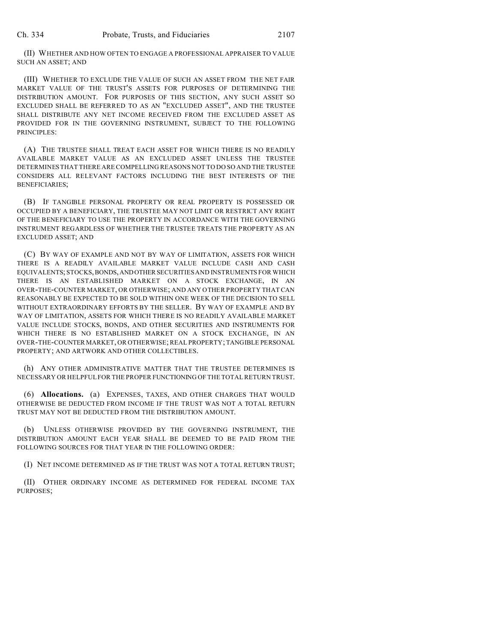(II) WHETHER AND HOW OFTEN TO ENGAGE A PROFESSIONAL APPRAISER TO VALUE SUCH AN ASSET; AND

(III) WHETHER TO EXCLUDE THE VALUE OF SUCH AN ASSET FROM THE NET FAIR MARKET VALUE OF THE TRUST'S ASSETS FOR PURPOSES OF DETERMINING THE DISTRIBUTION AMOUNT. FOR PURPOSES OF THIS SECTION, ANY SUCH ASSET SO EXCLUDED SHALL BE REFERRED TO AS AN "EXCLUDED ASSET", AND THE TRUSTEE SHALL DISTRIBUTE ANY NET INCOME RECEIVED FROM THE EXCLUDED ASSET AS PROVIDED FOR IN THE GOVERNING INSTRUMENT, SUBJECT TO THE FOLLOWING PRINCIPLES:

(A) THE TRUSTEE SHALL TREAT EACH ASSET FOR WHICH THERE IS NO READILY AVAILABLE MARKET VALUE AS AN EXCLUDED ASSET UNLESS THE TRUSTEE DETERMINES THAT THERE ARE COMPELLING REASONS NOT TO DO SO AND THE TRUSTEE CONSIDERS ALL RELEVANT FACTORS INCLUDING THE BEST INTERESTS OF THE BENEFICIARIES;

(B) IF TANGIBLE PERSONAL PROPERTY OR REAL PROPERTY IS POSSESSED OR OCCUPIED BY A BENEFICIARY, THE TRUSTEE MAY NOT LIMIT OR RESTRICT ANY RIGHT OF THE BENEFICIARY TO USE THE PROPERTY IN ACCORDANCE WITH THE GOVERNING INSTRUMENT REGARDLESS OF WHETHER THE TRUSTEE TREATS THE PROPERTY AS AN EXCLUDED ASSET; AND

(C) BY WAY OF EXAMPLE AND NOT BY WAY OF LIMITATION, ASSETS FOR WHICH THERE IS A READILY AVAILABLE MARKET VALUE INCLUDE CASH AND CASH EQUIVALENTS; STOCKS, BONDS, AND OTHER SECURITIES AND INSTRUMENTS FOR WHICH THERE IS AN ESTABLISHED MARKET ON A STOCK EXCHANGE, IN AN OVER-THE-COUNTER MARKET, OR OTHERWISE; AND ANY OTHER PROPERTY THAT CAN REASONABLY BE EXPECTED TO BE SOLD WITHIN ONE WEEK OF THE DECISION TO SELL WITHOUT EXTRAORDINARY EFFORTS BY THE SELLER. BY WAY OF EXAMPLE AND BY WAY OF LIMITATION, ASSETS FOR WHICH THERE IS NO READILY AVAILABLE MARKET VALUE INCLUDE STOCKS, BONDS, AND OTHER SECURITIES AND INSTRUMENTS FOR WHICH THERE IS NO ESTABLISHED MARKET ON A STOCK EXCHANGE, IN AN OVER-THE-COUNTER MARKET, OR OTHERWISE; REAL PROPERTY; TANGIBLE PERSONAL PROPERTY; AND ARTWORK AND OTHER COLLECTIBLES.

(h) ANY OTHER ADMINISTRATIVE MATTER THAT THE TRUSTEE DETERMINES IS NECESSARY OR HELPFUL FOR THE PROPER FUNCTIONING OF THE TOTAL RETURN TRUST.

(6) **Allocations.** (a) EXPENSES, TAXES, AND OTHER CHARGES THAT WOULD OTHERWISE BE DEDUCTED FROM INCOME IF THE TRUST WAS NOT A TOTAL RETURN TRUST MAY NOT BE DEDUCTED FROM THE DISTRIBUTION AMOUNT.

UNLESS OTHERWISE PROVIDED BY THE GOVERNING INSTRUMENT, THE DISTRIBUTION AMOUNT EACH YEAR SHALL BE DEEMED TO BE PAID FROM THE FOLLOWING SOURCES FOR THAT YEAR IN THE FOLLOWING ORDER:

(I) NET INCOME DETERMINED AS IF THE TRUST WAS NOT A TOTAL RETURN TRUST;

(II) OTHER ORDINARY INCOME AS DETERMINED FOR FEDERAL INCOME TAX PURPOSES;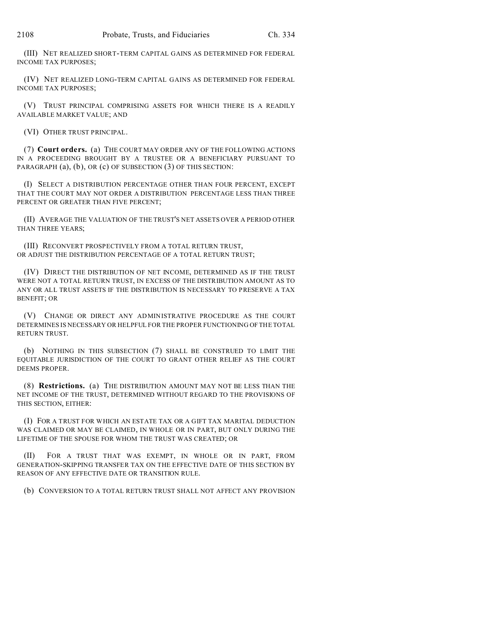(III) NET REALIZED SHORT-TERM CAPITAL GAINS AS DETERMINED FOR FEDERAL INCOME TAX PURPOSES;

(IV) NET REALIZED LONG-TERM CAPITAL GAINS AS DETERMINED FOR FEDERAL INCOME TAX PURPOSES;

(V) TRUST PRINCIPAL COMPRISING ASSETS FOR WHICH THERE IS A READILY AVAILABLE MARKET VALUE; AND

(VI) OTHER TRUST PRINCIPAL.

(7) **Court orders.** (a) THE COURT MAY ORDER ANY OF THE FOLLOWING ACTIONS IN A PROCEEDING BROUGHT BY A TRUSTEE OR A BENEFICIARY PURSUANT TO PARAGRAPH (a), (b), OR (c) OF SUBSECTION (3) OF THIS SECTION:

(I) SELECT A DISTRIBUTION PERCENTAGE OTHER THAN FOUR PERCENT, EXCEPT THAT THE COURT MAY NOT ORDER A DISTRIBUTION PERCENTAGE LESS THAN THREE PERCENT OR GREATER THAN FIVE PERCENT;

(II) AVERAGE THE VALUATION OF THE TRUST'S NET ASSETS OVER A PERIOD OTHER THAN THREE YEARS;

(III) RECONVERT PROSPECTIVELY FROM A TOTAL RETURN TRUST, OR ADJUST THE DISTRIBUTION PERCENTAGE OF A TOTAL RETURN TRUST;

(IV) DIRECT THE DISTRIBUTION OF NET INCOME, DETERMINED AS IF THE TRUST WERE NOT A TOTAL RETURN TRUST, IN EXCESS OF THE DISTRIBUTION AMOUNT AS TO ANY OR ALL TRUST ASSETS IF THE DISTRIBUTION IS NECESSARY TO PRESERVE A TAX BENEFIT; OR

(V) CHANGE OR DIRECT ANY ADMINISTRATIVE PROCEDURE AS THE COURT DETERMINES IS NECESSARY OR HELPFUL FOR THE PROPER FUNCTIONING OF THE TOTAL RETURN TRUST.

(b) NOTHING IN THIS SUBSECTION (7) SHALL BE CONSTRUED TO LIMIT THE EQUITABLE JURISDICTION OF THE COURT TO GRANT OTHER RELIEF AS THE COURT DEEMS PROPER.

(8) **Restrictions.** (a) THE DISTRIBUTION AMOUNT MAY NOT BE LESS THAN THE NET INCOME OF THE TRUST, DETERMINED WITHOUT REGARD TO THE PROVISIONS OF THIS SECTION, EITHER:

(I) FOR A TRUST FOR WHICH AN ESTATE TAX OR A GIFT TAX MARITAL DEDUCTION WAS CLAIMED OR MAY BE CLAIMED, IN WHOLE OR IN PART, BUT ONLY DURING THE LIFETIME OF THE SPOUSE FOR WHOM THE TRUST WAS CREATED; OR

(II) FOR A TRUST THAT WAS EXEMPT, IN WHOLE OR IN PART, FROM GENERATION-SKIPPING TRANSFER TAX ON THE EFFECTIVE DATE OF THIS SECTION BY REASON OF ANY EFFECTIVE DATE OR TRANSITION RULE.

(b) CONVERSION TO A TOTAL RETURN TRUST SHALL NOT AFFECT ANY PROVISION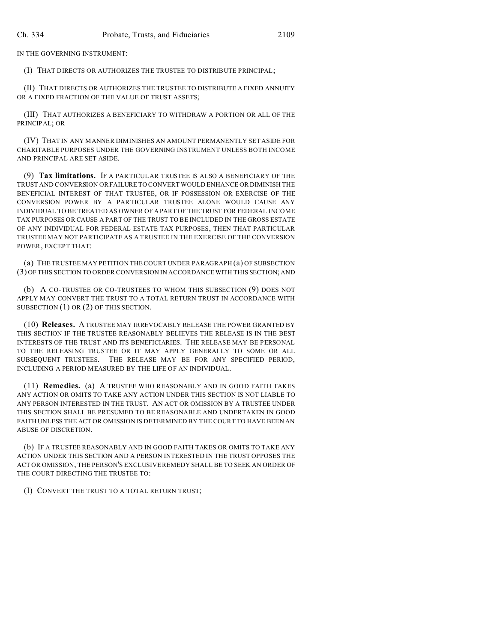IN THE GOVERNING INSTRUMENT:

(I) THAT DIRECTS OR AUTHORIZES THE TRUSTEE TO DISTRIBUTE PRINCIPAL;

(II) THAT DIRECTS OR AUTHORIZES THE TRUSTEE TO DISTRIBUTE A FIXED ANNUITY OR A FIXED FRACTION OF THE VALUE OF TRUST ASSETS;

(III) THAT AUTHORIZES A BENEFICIARY TO WITHDRAW A PORTION OR ALL OF THE PRINCIPAL; OR

(IV) THAT IN ANY MANNER DIMINISHES AN AMOUNT PERMANENTLY SET ASIDE FOR CHARITABLE PURPOSES UNDER THE GOVERNING INSTRUMENT UNLESS BOTH INCOME AND PRINCIPAL ARE SET ASIDE.

(9) **Tax limitations.** IF A PARTICULAR TRUSTEE IS ALSO A BENEFICIARY OF THE TRUST AND CONVERSION OR FAILURE TO CONVERT WOULD ENHANCE OR DIMINISH THE BENEFICIAL INTEREST OF THAT TRUSTEE, OR IF POSSESSION OR EXERCISE OF THE CONVERSION POWER BY A PARTICULAR TRUSTEE ALONE WOULD CAUSE ANY INDIVIDUAL TO BE TREATED AS OWNER OF A PART OF THE TRUST FOR FEDERAL INCOME TAX PURPOSES OR CAUSE A PART OF THE TRUST TO BE INCLUDED IN THE GROSS ESTATE OF ANY INDIVIDUAL FOR FEDERAL ESTATE TAX PURPOSES, THEN THAT PARTICULAR TRUSTEE MAY NOT PARTICIPATE AS A TRUSTEE IN THE EXERCISE OF THE CONVERSION POWER, EXCEPT THAT:

(a) THE TRUSTEE MAY PETITION THE COURT UNDER PARAGRAPH (a) OF SUBSECTION (3) OF THIS SECTION TO ORDER CONVERSION IN ACCORDANCE WITH THIS SECTION; AND

(b) A CO-TRUSTEE OR CO-TRUSTEES TO WHOM THIS SUBSECTION (9) DOES NOT APPLY MAY CONVERT THE TRUST TO A TOTAL RETURN TRUST IN ACCORDANCE WITH SUBSECTION (1) OR (2) OF THIS SECTION.

(10) **Releases.** A TRUSTEE MAY IRREVOCABLY RELEASE THE POWER GRANTED BY THIS SECTION IF THE TRUSTEE REASONABLY BELIEVES THE RELEASE IS IN THE BEST INTERESTS OF THE TRUST AND ITS BENEFICIARIES. THE RELEASE MAY BE PERSONAL TO THE RELEASING TRUSTEE OR IT MAY APPLY GENERALLY TO SOME OR ALL SUBSEQUENT TRUSTEES. THE RELEASE MAY BE FOR ANY SPECIFIED PERIOD, INCLUDING A PERIOD MEASURED BY THE LIFE OF AN INDIVIDUAL.

(11) **Remedies.** (a) A TRUSTEE WHO REASONABLY AND IN GOOD FAITH TAKES ANY ACTION OR OMITS TO TAKE ANY ACTION UNDER THIS SECTION IS NOT LIABLE TO ANY PERSON INTERESTED IN THE TRUST. AN ACT OR OMISSION BY A TRUSTEE UNDER THIS SECTION SHALL BE PRESUMED TO BE REASONABLE AND UNDERTAKEN IN GOOD FAITH UNLESS THE ACT OR OMISSION IS DETERMINED BY THE COURT TO HAVE BEEN AN ABUSE OF DISCRETION.

(b) IF A TRUSTEE REASONABLY AND IN GOOD FAITH TAKES OR OMITS TO TAKE ANY ACTION UNDER THIS SECTION AND A PERSON INTERESTED IN THE TRUST OPPOSES THE ACT OR OMISSION, THE PERSON'S EXCLUSIVE REMEDY SHALL BE TO SEEK AN ORDER OF THE COURT DIRECTING THE TRUSTEE TO:

(I) CONVERT THE TRUST TO A TOTAL RETURN TRUST;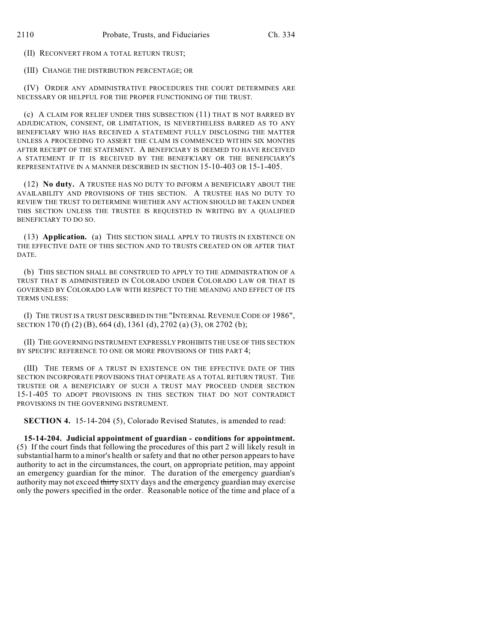(II) RECONVERT FROM A TOTAL RETURN TRUST;

(III) CHANGE THE DISTRIBUTION PERCENTAGE; OR

(IV) ORDER ANY ADMINISTRATIVE PROCEDURES THE COURT DETERMINES ARE NECESSARY OR HELPFUL FOR THE PROPER FUNCTIONING OF THE TRUST.

(c) A CLAIM FOR RELIEF UNDER THIS SUBSECTION (11) THAT IS NOT BARRED BY ADJUDICATION, CONSENT, OR LIMITATION, IS NEVERTHELESS BARRED AS TO ANY BENEFICIARY WHO HAS RECEIVED A STATEMENT FULLY DISCLOSING THE MATTER UNLESS A PROCEEDING TO ASSERT THE CLAIM IS COMMENCED WITHIN SIX MONTHS AFTER RECEIPT OF THE STATEMENT. A BENEFICIARY IS DEEMED TO HAVE RECEIVED A STATEMENT IF IT IS RECEIVED BY THE BENEFICIARY OR THE BENEFICIARY'S REPRESENTATIVE IN A MANNER DESCRIBED IN SECTION 15-10-403 OR 15-1-405.

(12) **No duty.** A TRUSTEE HAS NO DUTY TO INFORM A BENEFICIARY ABOUT THE AVAILABILITY AND PROVISIONS OF THIS SECTION. A TRUSTEE HAS NO DUTY TO REVIEW THE TRUST TO DETERMINE WHETHER ANY ACTION SHOULD BE TAKEN UNDER THIS SECTION UNLESS THE TRUSTEE IS REQUESTED IN WRITING BY A QUALIFIED BENEFICIARY TO DO SO.

(13) **Application.** (a) THIS SECTION SHALL APPLY TO TRUSTS IN EXISTENCE ON THE EFFECTIVE DATE OF THIS SECTION AND TO TRUSTS CREATED ON OR AFTER THAT DATE.

(b) THIS SECTION SHALL BE CONSTRUED TO APPLY TO THE ADMINISTRATION OF A TRUST THAT IS ADMINISTERED IN COLORADO UNDER COLORADO LAW OR THAT IS GOVERNED BY COLORADO LAW WITH RESPECT TO THE MEANING AND EFFECT OF ITS TERMS UNLESS:

(I) THE TRUST IS A TRUST DESCRIBED IN THE "INTERNAL REVENUE CODE OF 1986", SECTION 170 (f) (2) (B), 664 (d), 1361 (d), 2702 (a) (3), OR 2702 (b);

(II) THE GOVERNING INSTRUMENT EXPRESSLY PROHIBITS THE USE OF THIS SECTION BY SPECIFIC REFERENCE TO ONE OR MORE PROVISIONS OF THIS PART 4:

(III) THE TERMS OF A TRUST IN EXISTENCE ON THE EFFECTIVE DATE OF THIS SECTION INCORPORATE PROVISIONS THAT OPERATE AS A TOTAL RETURN TRUST. THE TRUSTEE OR A BENEFICIARY OF SUCH A TRUST MAY PROCEED UNDER SECTION 15-1-405 TO ADOPT PROVISIONS IN THIS SECTION THAT DO NOT CONTRADICT PROVISIONS IN THE GOVERNING INSTRUMENT.

**SECTION 4.** 15-14-204 (5), Colorado Revised Statutes, is amended to read:

**15-14-204. Judicial appointment of guardian - conditions for appointment.** (5) If the court finds that following the procedures of this part 2 will likely result in substantial harm to a minor's health or safety and that no other person appears to have authority to act in the circumstances, the court, on appropriate petition, may appoint an emergency guardian for the minor. The duration of the emergency guardian's authority may not exceed thirty SIXTY days and the emergency guardian may exercise only the powers specified in the order. Reasonable notice of the time and place of a